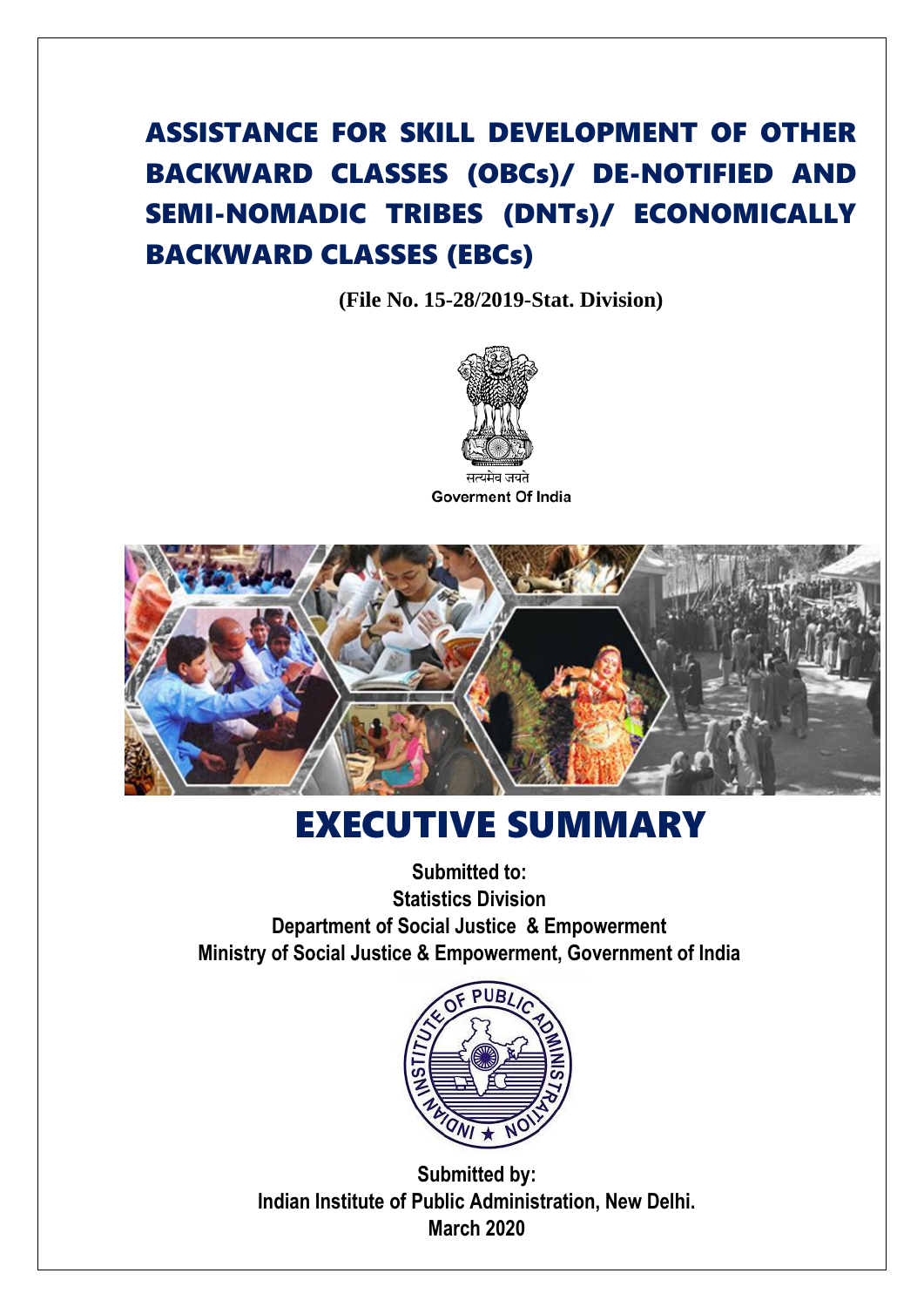## ASSISTANCE FOR SKILL DEVELOPMENT OF OTHER BACKWARD CLASSES (OBCs)/ DE-NOTIFIED AND SEMI-NOMADIC TRIBES (DNTs)/ ECONOMICALLY BACKWARD CLASSES (EBCs)

**(File No. 15-28/2019-Stat. Division)**





## EXECUTIVE SUMMARY

**Submitted to: Statistics Division Department of Social Justice & Empowerment Ministry of Social Justice & Empowerment, Government of India**



**Submitted by: Indian Institute of Public Administration, New Delhi. March 2020**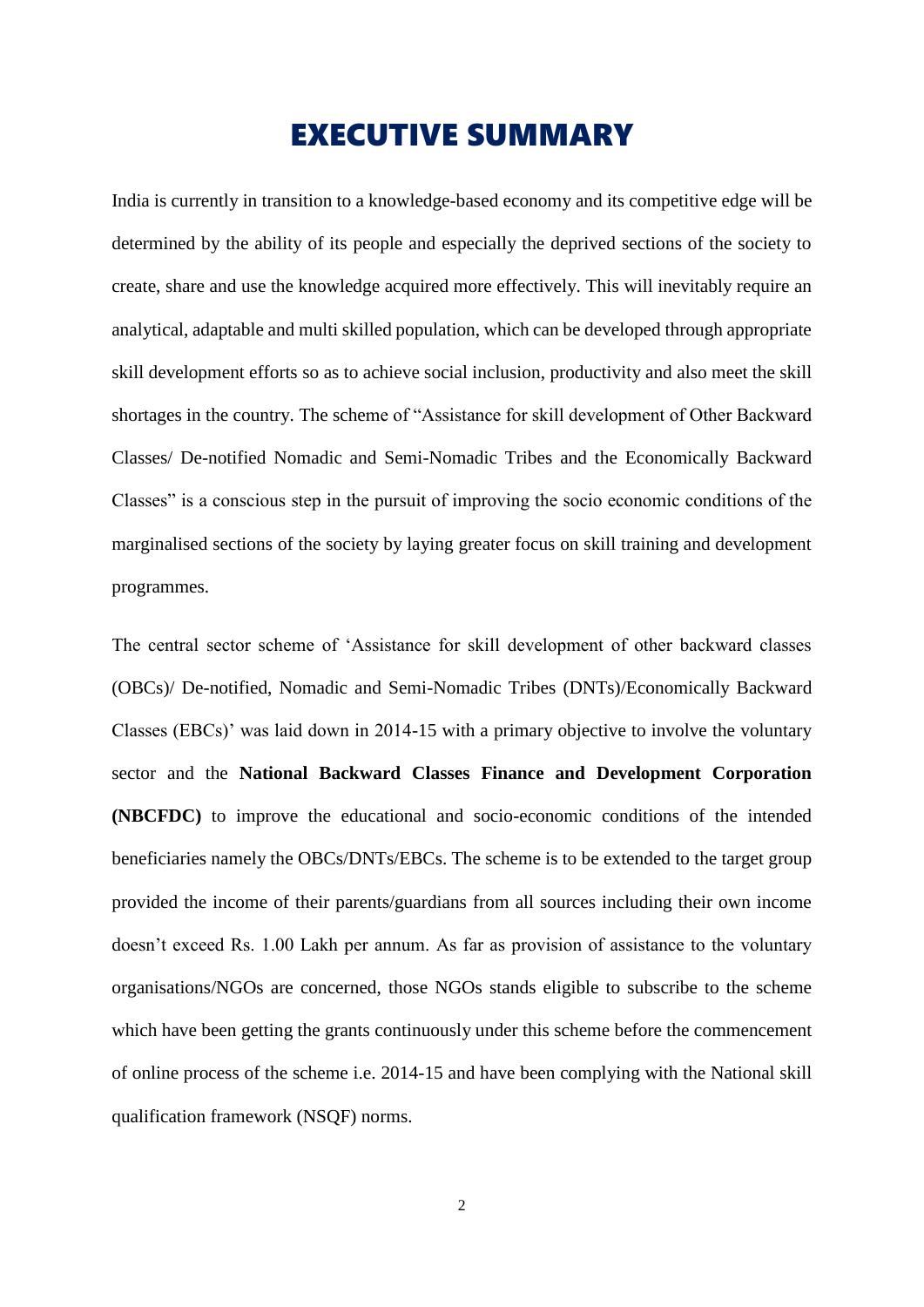## EXECUTIVE SUMMARY

India is currently in transition to a knowledge-based economy and its competitive edge will be determined by the ability of its people and especially the deprived sections of the society to create, share and use the knowledge acquired more effectively. This will inevitably require an analytical, adaptable and multi skilled population, which can be developed through appropriate skill development efforts so as to achieve social inclusion, productivity and also meet the skill shortages in the country. The scheme of "Assistance for skill development of Other Backward Classes/ De-notified Nomadic and Semi-Nomadic Tribes and the Economically Backward Classes" is a conscious step in the pursuit of improving the socio economic conditions of the marginalised sections of the society by laying greater focus on skill training and development programmes.

The central sector scheme of 'Assistance for skill development of other backward classes (OBCs)/ De-notified, Nomadic and Semi-Nomadic Tribes (DNTs)/Economically Backward Classes (EBCs)' was laid down in 2014-15 with a primary objective to involve the voluntary sector and the **National Backward Classes Finance and Development Corporation (NBCFDC)** to improve the educational and socio-economic conditions of the intended beneficiaries namely the OBCs/DNTs/EBCs. The scheme is to be extended to the target group provided the income of their parents/guardians from all sources including their own income doesn't exceed Rs. 1.00 Lakh per annum. As far as provision of assistance to the voluntary organisations/NGOs are concerned, those NGOs stands eligible to subscribe to the scheme which have been getting the grants continuously under this scheme before the commencement of online process of the scheme i.e. 2014-15 and have been complying with the National skill qualification framework (NSQF) norms.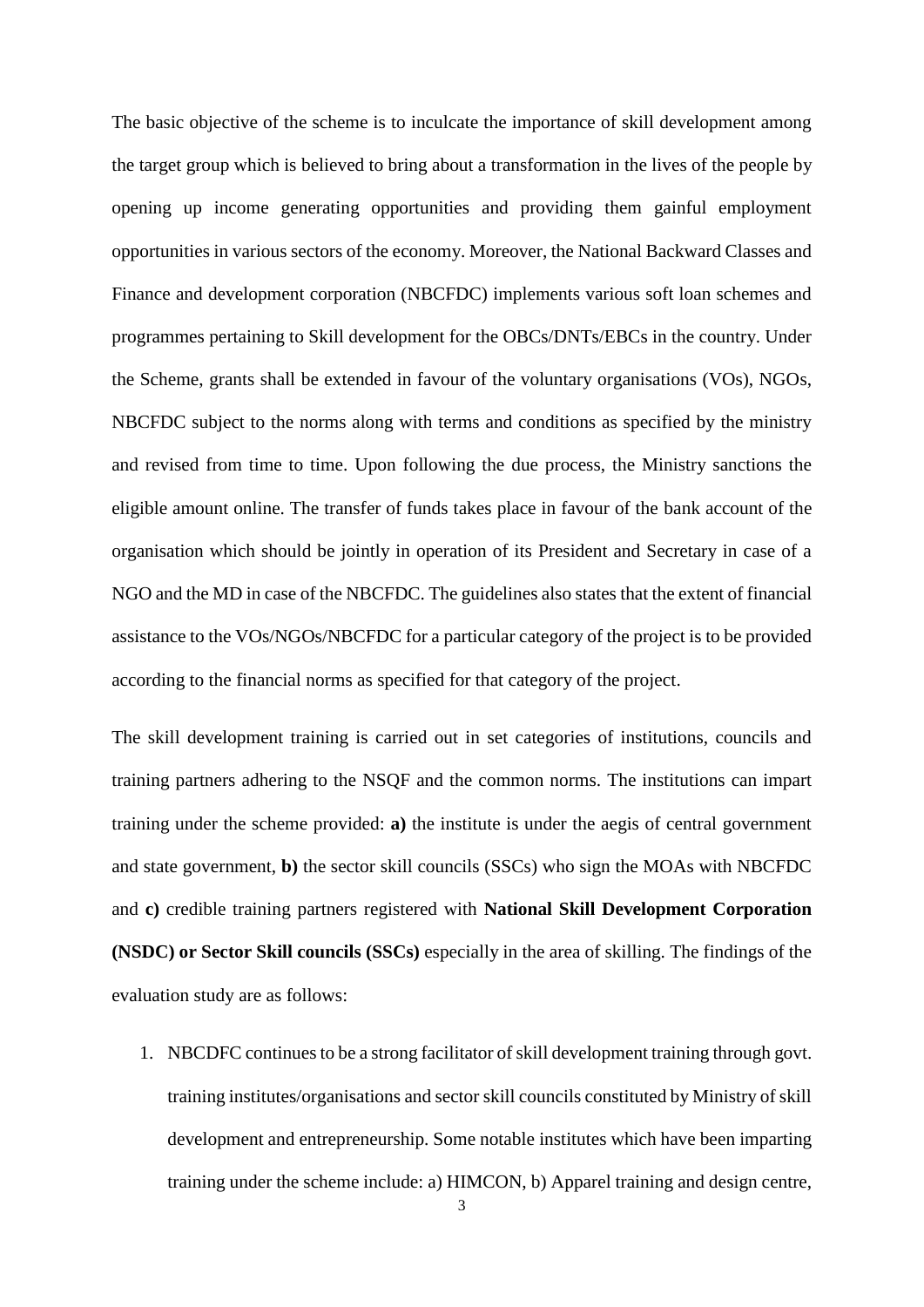The basic objective of the scheme is to inculcate the importance of skill development among the target group which is believed to bring about a transformation in the lives of the people by opening up income generating opportunities and providing them gainful employment opportunities in various sectors of the economy. Moreover, the National Backward Classes and Finance and development corporation (NBCFDC) implements various soft loan schemes and programmes pertaining to Skill development for the OBCs/DNTs/EBCs in the country. Under the Scheme, grants shall be extended in favour of the voluntary organisations (VOs), NGOs, NBCFDC subject to the norms along with terms and conditions as specified by the ministry and revised from time to time. Upon following the due process, the Ministry sanctions the eligible amount online. The transfer of funds takes place in favour of the bank account of the organisation which should be jointly in operation of its President and Secretary in case of a NGO and the MD in case of the NBCFDC. The guidelines also states that the extent of financial assistance to the VOs/NGOs/NBCFDC for a particular category of the project is to be provided according to the financial norms as specified for that category of the project.

The skill development training is carried out in set categories of institutions, councils and training partners adhering to the NSQF and the common norms. The institutions can impart training under the scheme provided: **a)** the institute is under the aegis of central government and state government, **b)** the sector skill councils (SSCs) who sign the MOAs with NBCFDC and **c)** credible training partners registered with **National Skill Development Corporation (NSDC) or Sector Skill councils (SSCs)** especially in the area of skilling. The findings of the evaluation study are as follows:

1. NBCDFC continues to be a strong facilitator of skill development training through govt. training institutes/organisations and sector skill councils constituted by Ministry of skill development and entrepreneurship. Some notable institutes which have been imparting training under the scheme include: a) HIMCON, b) Apparel training and design centre,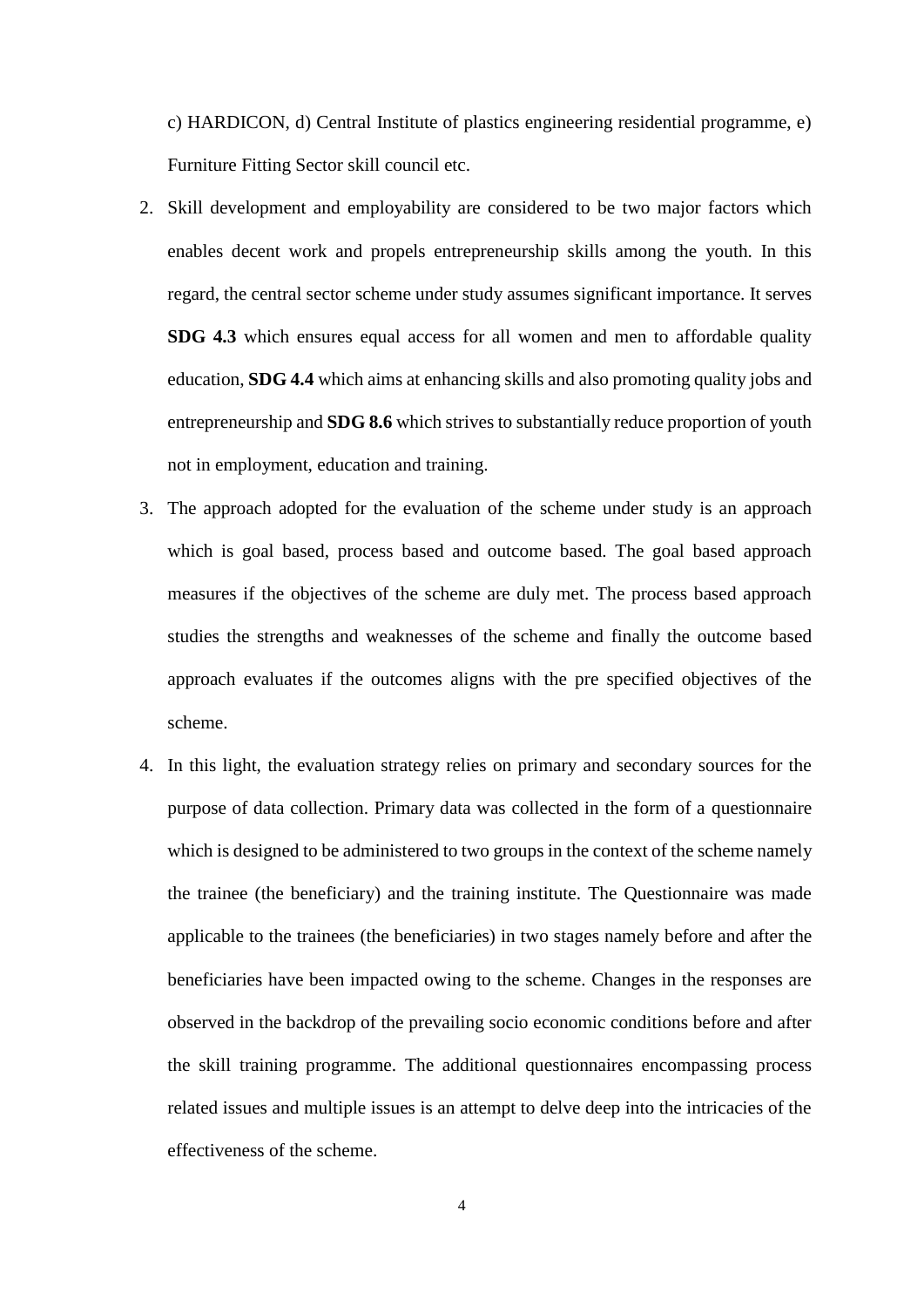c) HARDICON, d) Central Institute of plastics engineering residential programme, e) Furniture Fitting Sector skill council etc.

- 2. Skill development and employability are considered to be two major factors which enables decent work and propels entrepreneurship skills among the youth. In this regard, the central sector scheme under study assumes significant importance. It serves **SDG 4.3** which ensures equal access for all women and men to affordable quality education, **SDG 4.4** which aims at enhancing skills and also promoting quality jobs and entrepreneurship and **SDG 8.6** which strives to substantially reduce proportion of youth not in employment, education and training.
- 3. The approach adopted for the evaluation of the scheme under study is an approach which is goal based, process based and outcome based. The goal based approach measures if the objectives of the scheme are duly met. The process based approach studies the strengths and weaknesses of the scheme and finally the outcome based approach evaluates if the outcomes aligns with the pre specified objectives of the scheme.
- 4. In this light, the evaluation strategy relies on primary and secondary sources for the purpose of data collection. Primary data was collected in the form of a questionnaire which is designed to be administered to two groups in the context of the scheme namely the trainee (the beneficiary) and the training institute. The Questionnaire was made applicable to the trainees (the beneficiaries) in two stages namely before and after the beneficiaries have been impacted owing to the scheme. Changes in the responses are observed in the backdrop of the prevailing socio economic conditions before and after the skill training programme. The additional questionnaires encompassing process related issues and multiple issues is an attempt to delve deep into the intricacies of the effectiveness of the scheme.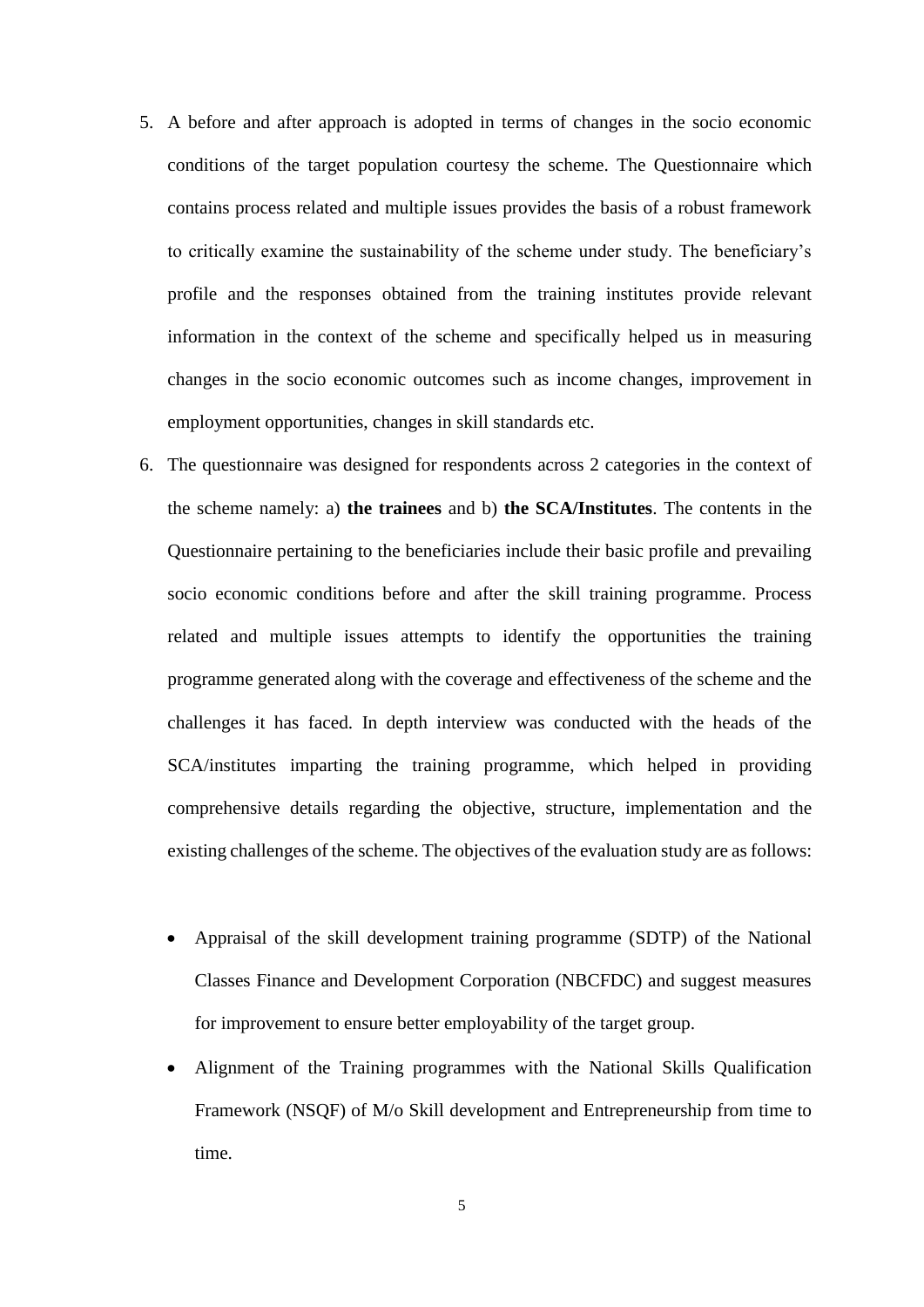- 5. A before and after approach is adopted in terms of changes in the socio economic conditions of the target population courtesy the scheme. The Questionnaire which contains process related and multiple issues provides the basis of a robust framework to critically examine the sustainability of the scheme under study. The beneficiary's profile and the responses obtained from the training institutes provide relevant information in the context of the scheme and specifically helped us in measuring changes in the socio economic outcomes such as income changes, improvement in employment opportunities, changes in skill standards etc.
- 6. The questionnaire was designed for respondents across 2 categories in the context of the scheme namely: a) **the trainees** and b) **the SCA/Institutes**. The contents in the Questionnaire pertaining to the beneficiaries include their basic profile and prevailing socio economic conditions before and after the skill training programme. Process related and multiple issues attempts to identify the opportunities the training programme generated along with the coverage and effectiveness of the scheme and the challenges it has faced. In depth interview was conducted with the heads of the SCA/institutes imparting the training programme, which helped in providing comprehensive details regarding the objective, structure, implementation and the existing challenges of the scheme. The objectives of the evaluation study are as follows:
	- Appraisal of the skill development training programme (SDTP) of the National Classes Finance and Development Corporation (NBCFDC) and suggest measures for improvement to ensure better employability of the target group.
	- Alignment of the Training programmes with the National Skills Qualification Framework (NSQF) of M/o Skill development and Entrepreneurship from time to time.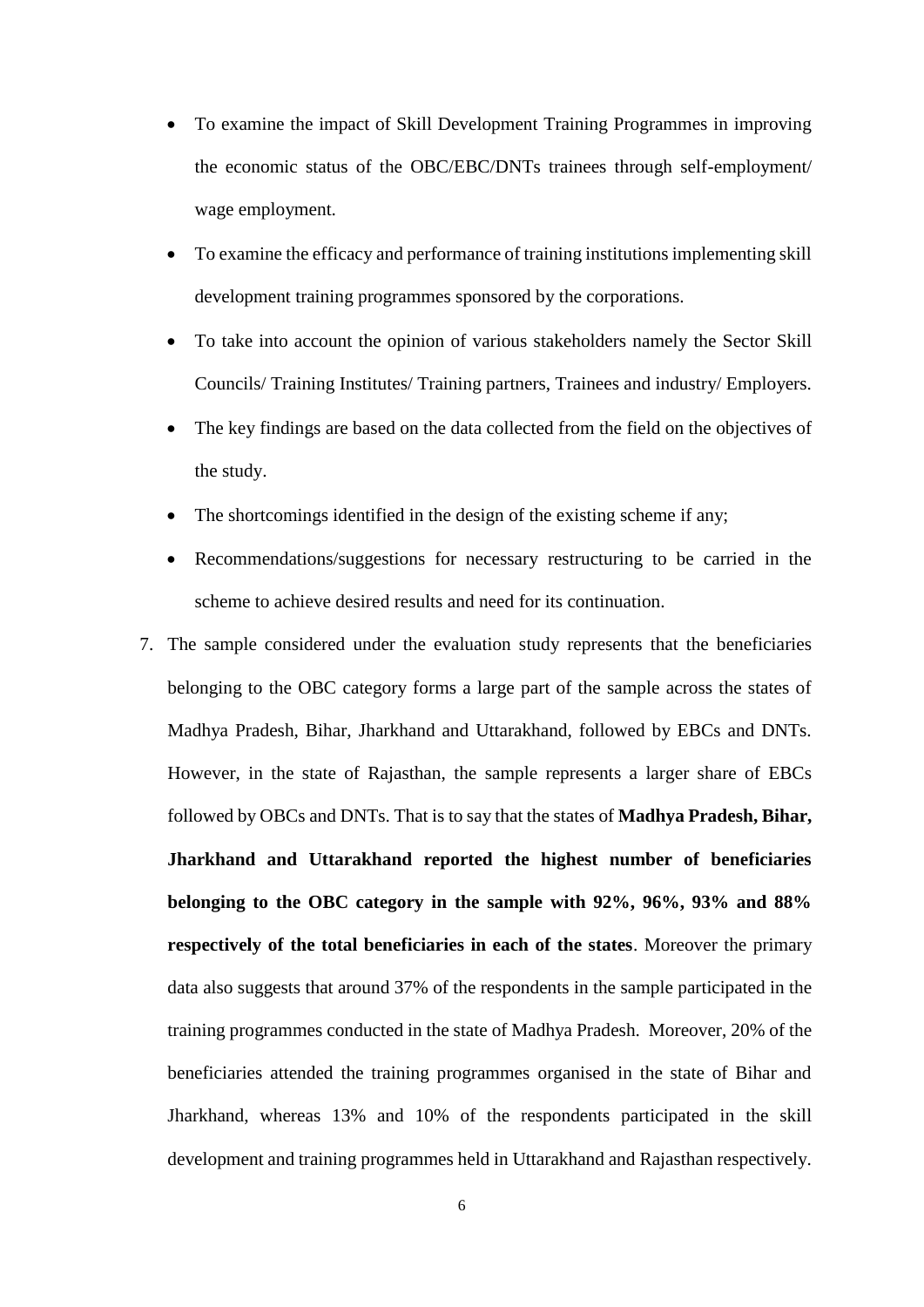- To examine the impact of Skill Development Training Programmes in improving the economic status of the OBC/EBC/DNTs trainees through self-employment/ wage employment.
- To examine the efficacy and performance of training institutions implementing skill development training programmes sponsored by the corporations.
- To take into account the opinion of various stakeholders namely the Sector Skill Councils/ Training Institutes/ Training partners, Trainees and industry/ Employers.
- The key findings are based on the data collected from the field on the objectives of the study.
- The shortcomings identified in the design of the existing scheme if any;
- Recommendations/suggestions for necessary restructuring to be carried in the scheme to achieve desired results and need for its continuation.
- 7. The sample considered under the evaluation study represents that the beneficiaries belonging to the OBC category forms a large part of the sample across the states of Madhya Pradesh, Bihar, Jharkhand and Uttarakhand, followed by EBCs and DNTs. However, in the state of Rajasthan, the sample represents a larger share of EBCs followed by OBCs and DNTs. That is to say that the states of **Madhya Pradesh, Bihar, Jharkhand and Uttarakhand reported the highest number of beneficiaries belonging to the OBC category in the sample with 92%, 96%, 93% and 88% respectively of the total beneficiaries in each of the states**. Moreover the primary data also suggests that around 37% of the respondents in the sample participated in the training programmes conducted in the state of Madhya Pradesh. Moreover, 20% of the beneficiaries attended the training programmes organised in the state of Bihar and Jharkhand, whereas 13% and 10% of the respondents participated in the skill development and training programmes held in Uttarakhand and Rajasthan respectively.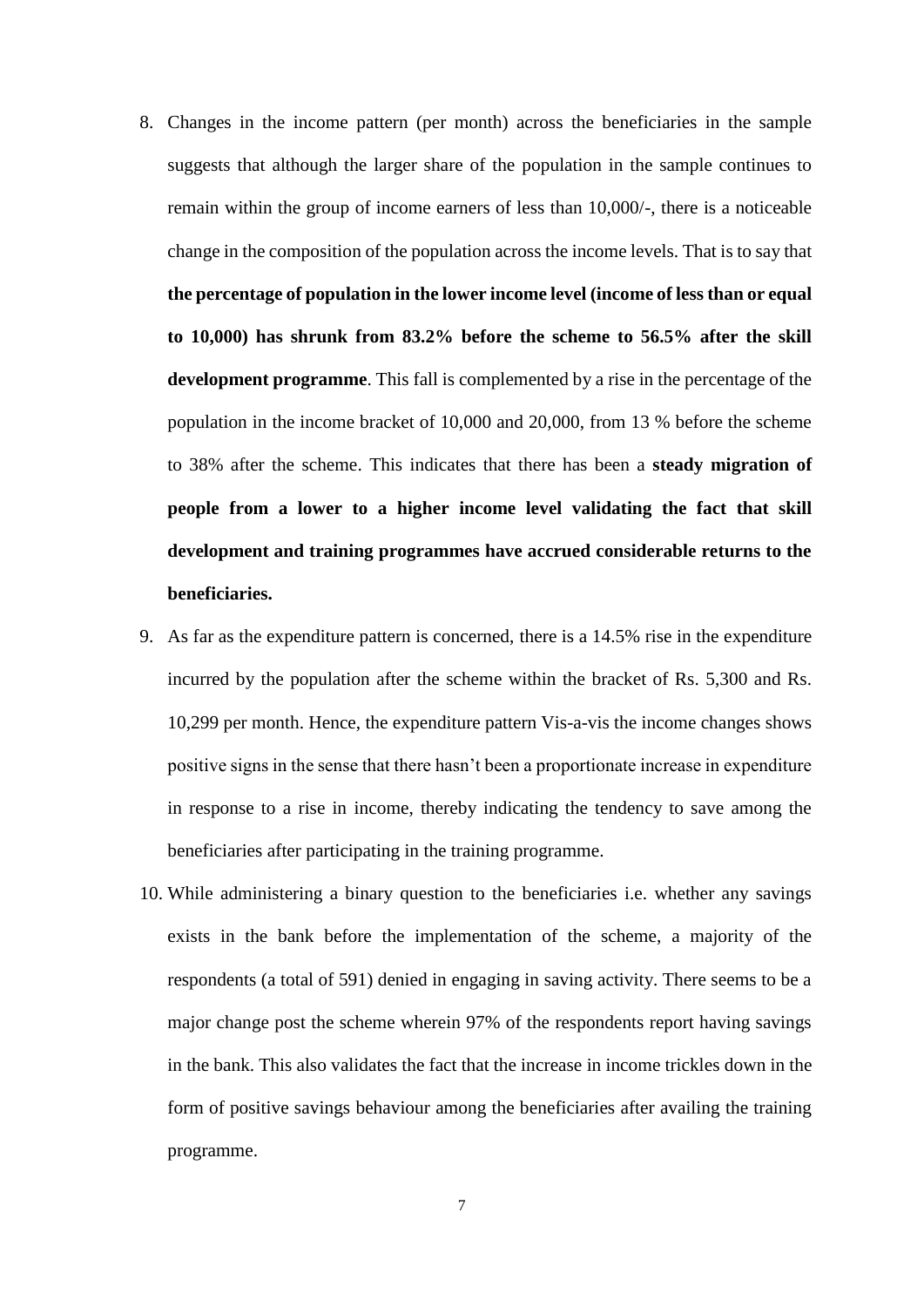- 8. Changes in the income pattern (per month) across the beneficiaries in the sample suggests that although the larger share of the population in the sample continues to remain within the group of income earners of less than 10,000/-, there is a noticeable change in the composition of the population across the income levels. That is to say that **the percentage of population in the lower income level (income of less than or equal to 10,000) has shrunk from 83.2% before the scheme to 56.5% after the skill development programme**. This fall is complemented by a rise in the percentage of the population in the income bracket of 10,000 and 20,000, from 13 % before the scheme to 38% after the scheme. This indicates that there has been a **steady migration of people from a lower to a higher income level validating the fact that skill development and training programmes have accrued considerable returns to the beneficiaries.**
- 9. As far as the expenditure pattern is concerned, there is a 14.5% rise in the expenditure incurred by the population after the scheme within the bracket of Rs. 5,300 and Rs. 10,299 per month. Hence, the expenditure pattern Vis-a-vis the income changes shows positive signs in the sense that there hasn't been a proportionate increase in expenditure in response to a rise in income, thereby indicating the tendency to save among the beneficiaries after participating in the training programme.
- 10. While administering a binary question to the beneficiaries i.e. whether any savings exists in the bank before the implementation of the scheme, a majority of the respondents (a total of 591) denied in engaging in saving activity. There seems to be a major change post the scheme wherein 97% of the respondents report having savings in the bank. This also validates the fact that the increase in income trickles down in the form of positive savings behaviour among the beneficiaries after availing the training programme.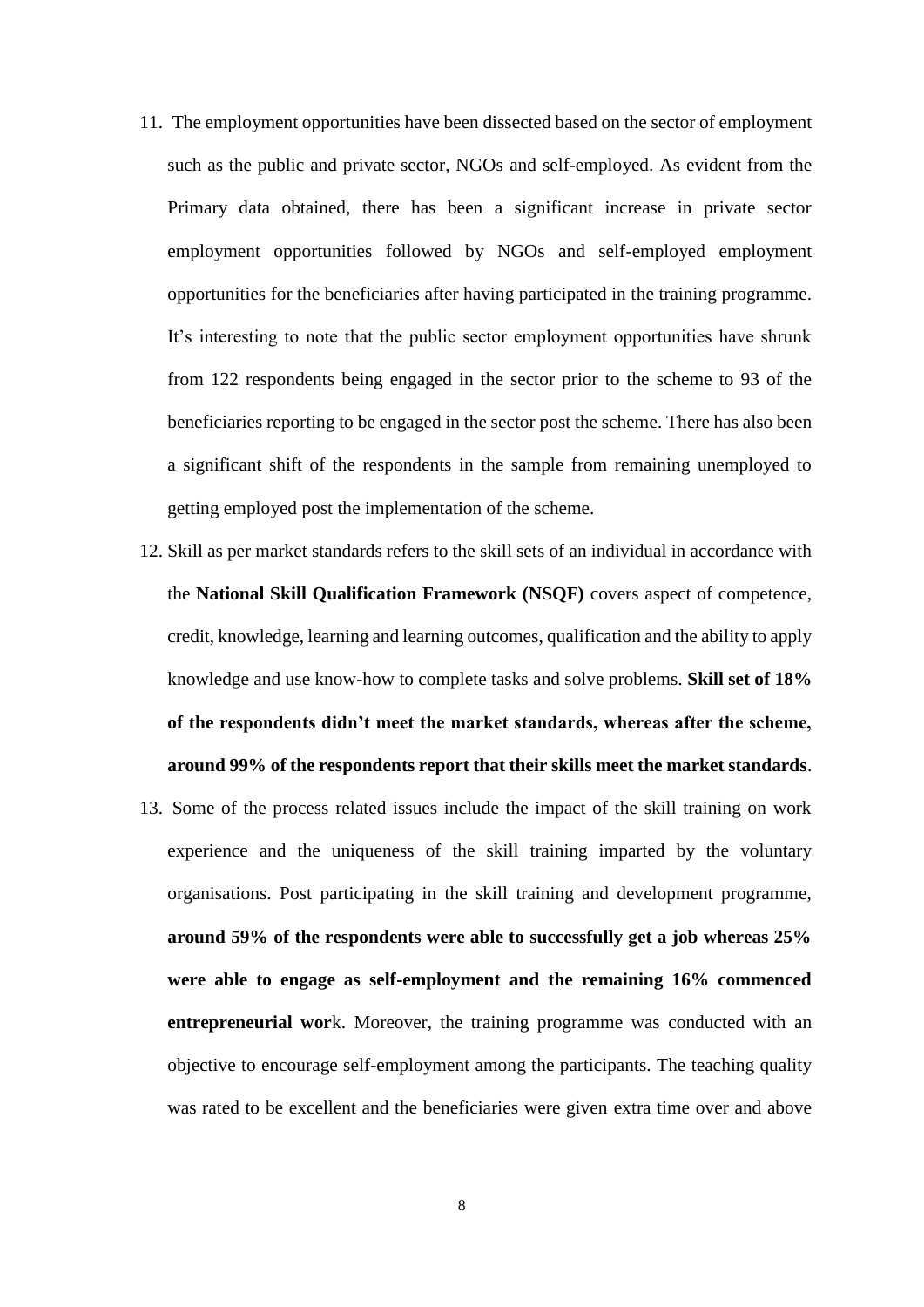- 11. The employment opportunities have been dissected based on the sector of employment such as the public and private sector, NGOs and self-employed. As evident from the Primary data obtained, there has been a significant increase in private sector employment opportunities followed by NGOs and self-employed employment opportunities for the beneficiaries after having participated in the training programme. It's interesting to note that the public sector employment opportunities have shrunk from 122 respondents being engaged in the sector prior to the scheme to 93 of the beneficiaries reporting to be engaged in the sector post the scheme. There has also been a significant shift of the respondents in the sample from remaining unemployed to getting employed post the implementation of the scheme.
- 12. Skill as per market standards refers to the skill sets of an individual in accordance with the **National Skill Qualification Framework (NSQF)** covers aspect of competence, credit, knowledge, learning and learning outcomes, qualification and the ability to apply knowledge and use know-how to complete tasks and solve problems. **Skill set of 18% of the respondents didn't meet the market standards, whereas after the scheme, around 99% of the respondents report that their skills meet the market standards**.
- 13. Some of the process related issues include the impact of the skill training on work experience and the uniqueness of the skill training imparted by the voluntary organisations. Post participating in the skill training and development programme, **around 59% of the respondents were able to successfully get a job whereas 25% were able to engage as self-employment and the remaining 16% commenced entrepreneurial wor**k. Moreover, the training programme was conducted with an objective to encourage self-employment among the participants. The teaching quality was rated to be excellent and the beneficiaries were given extra time over and above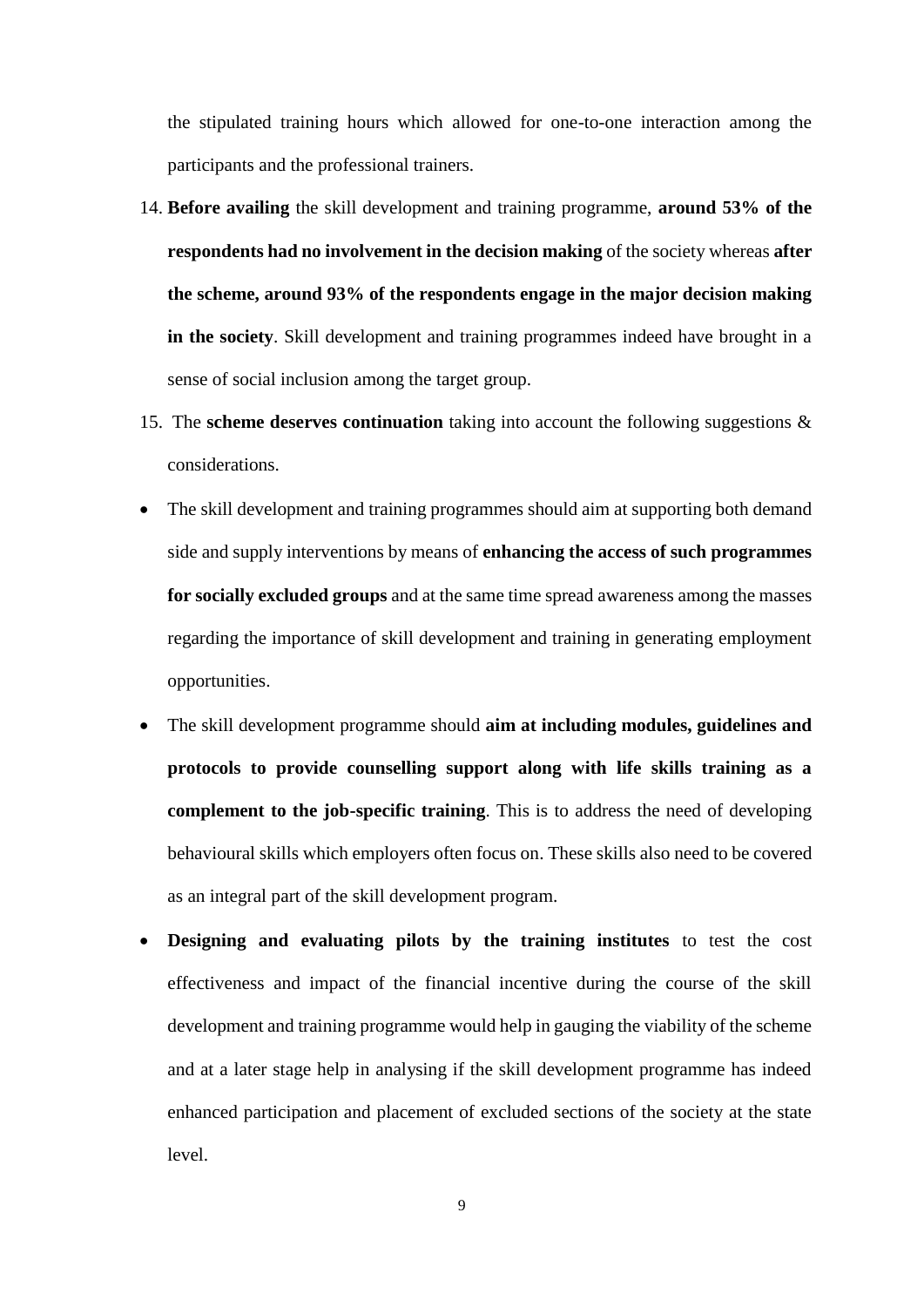the stipulated training hours which allowed for one-to-one interaction among the participants and the professional trainers.

- 14. **Before availing** the skill development and training programme, **around 53% of the respondents had no involvement in the decision making** of the society whereas **after the scheme, around 93% of the respondents engage in the major decision making in the society**. Skill development and training programmes indeed have brought in a sense of social inclusion among the target group.
- 15. The **scheme deserves continuation** taking into account the following suggestions & considerations.
- The skill development and training programmes should aim at supporting both demand side and supply interventions by means of **enhancing the access of such programmes for socially excluded groups** and at the same time spread awareness among the masses regarding the importance of skill development and training in generating employment opportunities.
- The skill development programme should **aim at including modules, guidelines and protocols to provide counselling support along with life skills training as a complement to the job-specific training**. This is to address the need of developing behavioural skills which employers often focus on. These skills also need to be covered as an integral part of the skill development program.
- **Designing and evaluating pilots by the training institutes** to test the cost effectiveness and impact of the financial incentive during the course of the skill development and training programme would help in gauging the viability of the scheme and at a later stage help in analysing if the skill development programme has indeed enhanced participation and placement of excluded sections of the society at the state level.